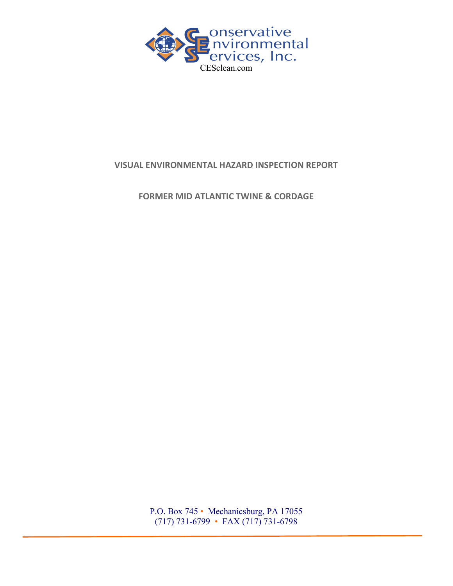

## VISUAL ENVIRONMENTAL HAZARD INSPECTION REPORT

FORMER MID ATLANTIC TWINE & CORDAGE

P.O. Box 745 • Mechanicsburg, PA 17055 (717) 731-6799 • FAX (717) 731-6798